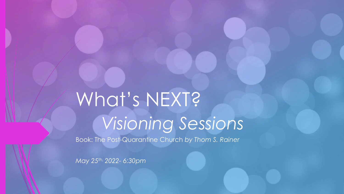# What's NEXT? *Visioning Sessions*

Book: The Post-Quarantine Church *by Thom S. Rainer*

*May 25th, 2022- 6:30pm*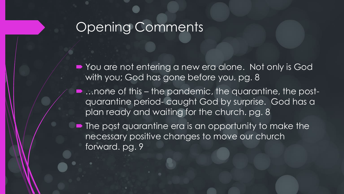### Opening Comments

■ You are not entering a new era alone. Not only is God with you; God has gone before you. pg. 8

- ... none of this the pandemic, the quarantine, the postquarantine period- caught God by surprise. God has a plan ready and waiting for the church. pg. 8
- The post quarantine era is an opportunity to make the necessary positive changes to move our church forward. pg. 9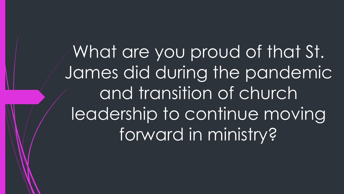What are you proud of that St. James did during the pandemic and transition of church leadership to continue moving forward in ministry?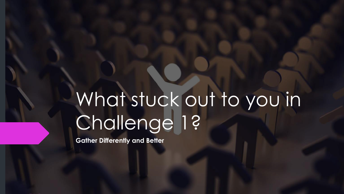# What stuck out to you in Challenge 1?

**Gather Differently and Better**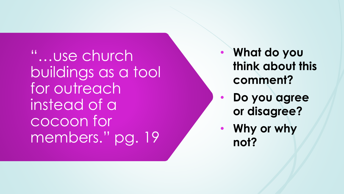"...use church buildings as a tool for outreach instead of a cocoon for members." pg. 19

- **What do you think about this comment?**
- **Do you agree or disagree?**
- **Why or why not?**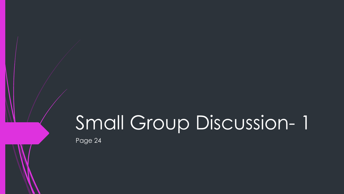## Small Group Discussion- 1

Page 24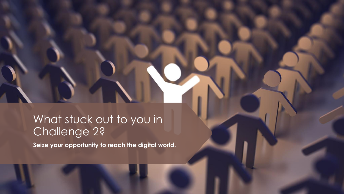#### What stuck out to you in Challenge 2?

**Seize your opportunity to reach the digital world.**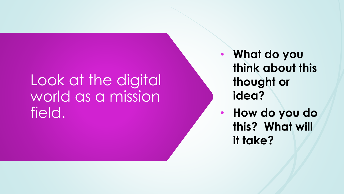### Look at the digital world as a mission field.

- **What do you think about this thought or idea?**
- **How do you do this? What will it take?**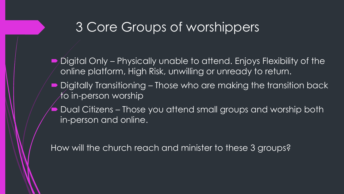#### 3 Core Groups of worshippers

- Digital Only Physically unable to attend. Enjoys Flexibility of the online platform, High Risk, unwilling or unready to return.
- Digitally Transitioning Those who are making the transition back  $A$ o in-person worship
- Dual Citizens Those you attend small groups and worship both in-person and online.

How will the church reach and minister to these 3 groups?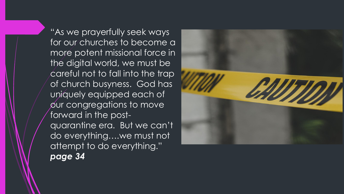"As we prayerfully seek ways for our churches to become a more potent missional force in the digital world, we must be careful not to fall into the trap of church busyness. God has uniquely equipped each of our congregations to move forward in the postquarantine era. But we can't do everything….we must not attempt to do everything." *page 34* 

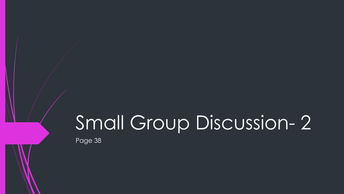### Small Group Discussion- 2

Page 38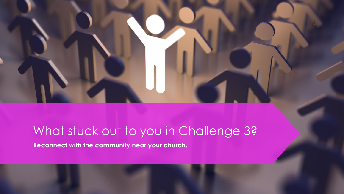### What stuck out to you in Challenge 3?

**Reconnect with the community near your church.**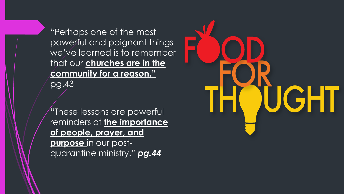"Perhaps one of the most powerful and poignant things we've learned is to remember that our **churches are in the community for a reason."**  pg.43

"These lessons are powerful reminders of **the importance of people, prayer, and purpose** in our postquarantine ministry." *pg.44*

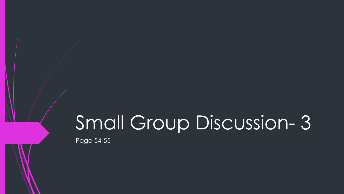### Small Group Discussion- 3

Page 54-55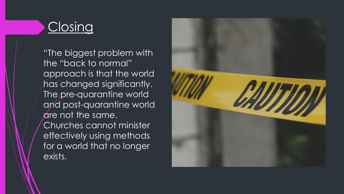#### Closing

"The biggest problem with the "back to normal" approach is that the world has changed significantly. The pre-quarantine world and post-quarantine world dre not the same. Churches cannot minister effectively using methods for a world that no longer exists.